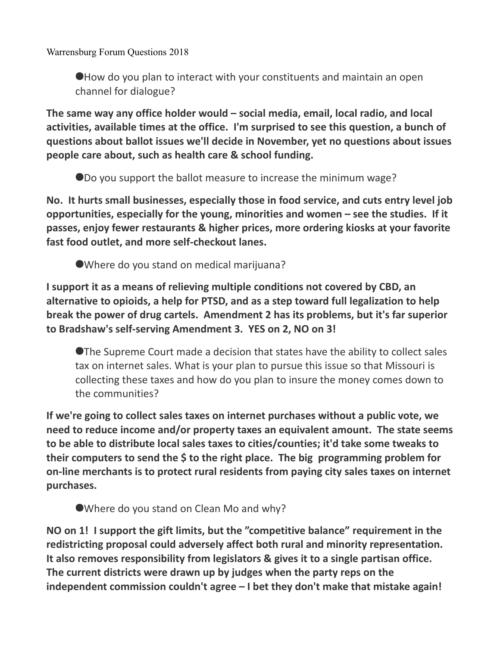Warrensburg Forum Questions 2018

How do you plan to interact with your constituents and maintain an open channel for dialogue?

**The same way any office holder would – social media, email, local radio, and local activities, available times at the office. I'm surprised to see this question, a bunch of questions about ballot issues we'll decide in November, yet no questions about issues people care about, such as health care & school funding.**

Do you support the ballot measure to increase the minimum wage?

**No. It hurts small businesses, especially those in food service, and cuts entry level job opportunities, especially for the young, minorities and women – see the studies. If it passes, enjoy fewer restaurants & higher prices, more ordering kiosks at your favorite fast food outlet, and more self-checkout lanes.**

Where do you stand on medical marijuana?

**I support it as a means of relieving multiple conditions not covered by CBD, an alternative to opioids, a help for PTSD, and as a step toward full legalization to help break the power of drug cartels. Amendment 2 has its problems, but it's far superior to Bradshaw's self-serving Amendment 3. YES on 2, NO on 3!** 

The Supreme Court made a decision that states have the ability to collect sales tax on internet sales. What is your plan to pursue this issue so that Missouri is collecting these taxes and how do you plan to insure the money comes down to the communities?

**If we're going to collect sales taxes on internet purchases without a public vote, we need to reduce income and/or property taxes an equivalent amount. The state seems to be able to distribute local sales taxes to cities/counties; it'd take some tweaks to their computers to send the \$ to the right place. The big programming problem for on-line merchants is to protect rural residents from paying city sales taxes on internet purchases.**

Where do you stand on Clean Mo and why?

**NO on 1! I support the gift limits, but the "competitive balance" requirement in the redistricting proposal could adversely affect both rural and minority representation. It also removes responsibility from legislators & gives it to a single partisan office. The current districts were drawn up by judges when the party reps on the independent commission couldn't agree – I bet they don't make that mistake again!**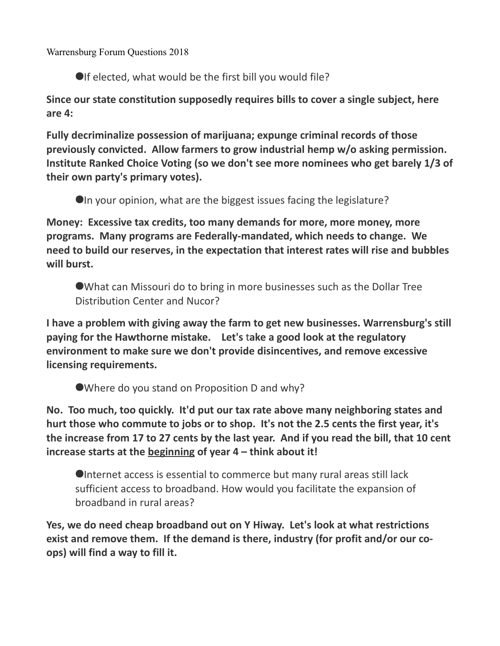Warrensburg Forum Questions 2018

OIf elected, what would be the first bill you would file?

**Since our state constitution supposedly requires bills to cover a single subject, here are 4:**

**Fully decriminalize possession of marijuana; expunge criminal records of those previously convicted. Allow farmers to grow industrial hemp w/o asking permission. Institute Ranked Choice Voting (so we don't see more nominees who get barely 1/3 of their own party's primary votes).** 

In your opinion, what are the biggest issues facing the legislature?

**Money: Excessive tax credits, too many demands for more, more money, more programs. Many programs are Federally-mandated, which needs to change. We need to build our reserves, in the expectation that interest rates will rise and bubbles will burst.**

What can Missouri do to bring in more businesses such as the Dollar Tree Distribution Center and Nucor?

**I have a problem with giving away the farm to get new businesses. Warrensburg's still paying for the Hawthorne mistake. Let's** t**ake a good look at the regulatory environment to make sure we don't provide disincentives, and remove excessive licensing requirements.** 

Where do you stand on Proposition D and why?

**No. Too much, too quickly. It'd put our tax rate above many neighboring states and hurt those who commute to jobs or to shop. It's not the 2.5 cents the first year, it's the increase from 17 to 27 cents by the last year. And if you read the bill, that 10 cent increase starts at the beginning of year 4 – think about it!**

Internet access is essential to commerce but many rural areas still lack sufficient access to broadband. How would you facilitate the expansion of broadband in rural areas?

**Yes, we do need cheap broadband out on Y Hiway. Let's look at what restrictions exist and remove them. If the demand is there, industry (for profit and/or our coops) will find a way to fill it.**